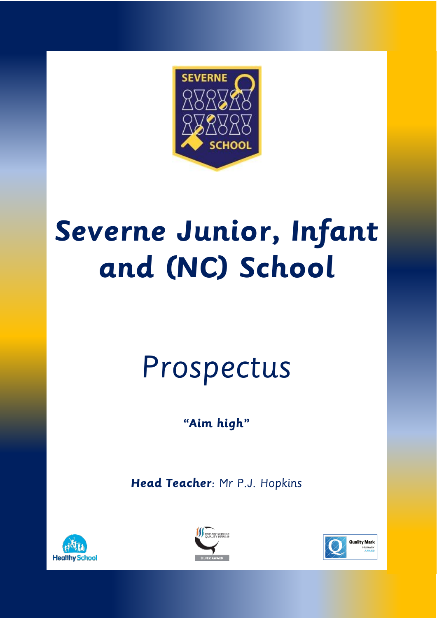

# **Severne Junior, Infant and (NC) School**

# Prospectus

**"Aim high"**

**Head Teacher**: Mr P.J. Hopkins





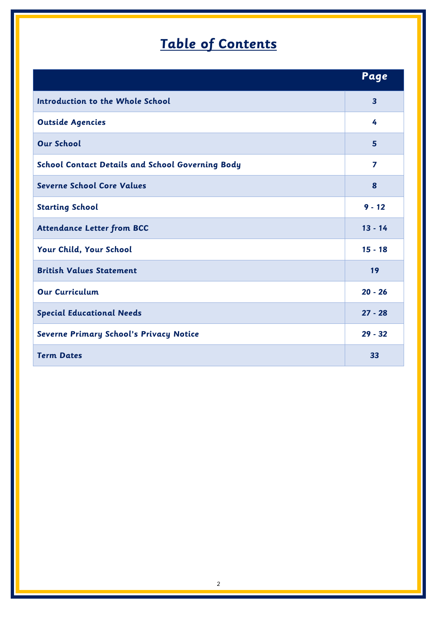## **Table of Contents**

|                                                         | Page                    |
|---------------------------------------------------------|-------------------------|
| Introduction to the Whole School                        | $\overline{\mathbf{3}}$ |
| <b>Outside Agencies</b>                                 | 4                       |
| <b>Our School</b>                                       | 5                       |
| <b>School Contact Details and School Governing Body</b> | $\overline{7}$          |
| <b>Severne School Core Values</b>                       | 8                       |
| <b>Starting School</b>                                  | $9 - 12$                |
| <b>Attendance Letter from BCC</b>                       | $13 - 14$               |
| Your Child, Your School                                 | $15 - 18$               |
| <b>British Values Statement</b>                         | 19                      |
| <b>Our Curriculum</b>                                   | $20 - 26$               |
| <b>Special Educational Needs</b>                        | $27 - 28$               |
| <b>Severne Primary School's Privacy Notice</b>          | $29 - 32$               |
| <b>Term Dates</b>                                       | 33                      |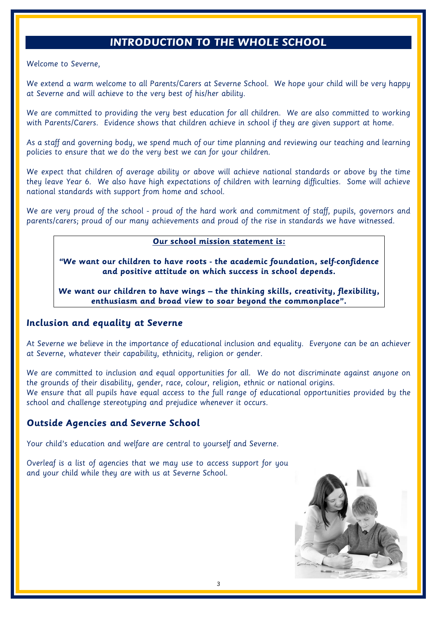## **INTRODUCTION TO THE WHOLE SCHOOL**

Welcome to Severne,

We extend a warm welcome to all Parents/Carers at Severne School. We hope your child will be very happy at Severne and will achieve to the very best of his/her ability.

We are committed to providing the very best education for all children. We are also committed to working with Parents/Carers. Evidence shows that children achieve in school if they are given support at home.

As a staff and governing body, we spend much of our time planning and reviewing our teaching and learning policies to ensure that we do the very best we can for your children.

We expect that children of average ability or above will achieve national standards or above by the time they leave Year 6. We also have high expectations of children with learning difficulties. Some will achieve national standards with support from home and school.

We are very proud of the school - proud of the hard work and commitment of staff, pupils, governors and parents/carers; proud of our many achievements and proud of the rise in standards we have witnessed.

#### **Our school mission statement is:**

**"We want our children to have roots - the academic foundation, self-confidence and positive attitude on which success in school depends.**

**We want our children to have wings – the thinking skills, creativity, flexibility, enthusiasm and broad view to soar beyond the commonplace".**

#### **Inclusion and equality at Severne**

At Severne we believe in the importance of educational inclusion and equality. Everyone can be an achiever at Severne, whatever their capability, ethnicity, religion or gender.

We are committed to inclusion and equal opportunities for all. We do not discriminate against anyone on the grounds of their disability, gender, race, colour, religion, ethnic or national origins. We ensure that all pupils have equal access to the full range of educational opportunities provided by the school and challenge stereotyping and prejudice whenever it occurs.

#### **Outside Agencies and Severne School**

Your child's education and welfare are central to yourself and Severne.

Overleaf is a list of agencies that we may use to access support for you and your child while they are with us at Severne School.

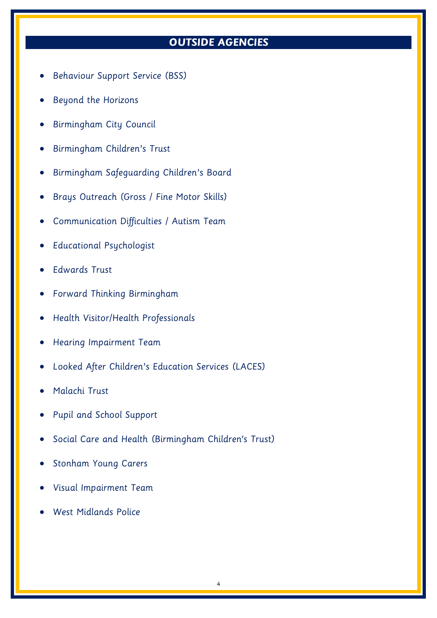## **OUTSIDE AGENCIES**

- Behaviour Support Service (BSS)
- Beyond the Horizons
- Birmingham City Council
- Birmingham Children's Trust
- Birmingham Safeguarding Children's Board
- Brays Outreach (Gross / Fine Motor Skills)
- Communication Difficulties / Autism Team
- Educational Psychologist
- Edwards Trust
- Forward Thinking Birmingham
- Health Visitor/Health Professionals
- Hearing Impairment Team
- Looked After Children's Education Services (LACES)
- Malachi Trust
- Pupil and School Support
- Social Care and Health (Birmingham Children's Trust)
- Stonham Young Carers
- Visual Impairment Team
- West Midlands Police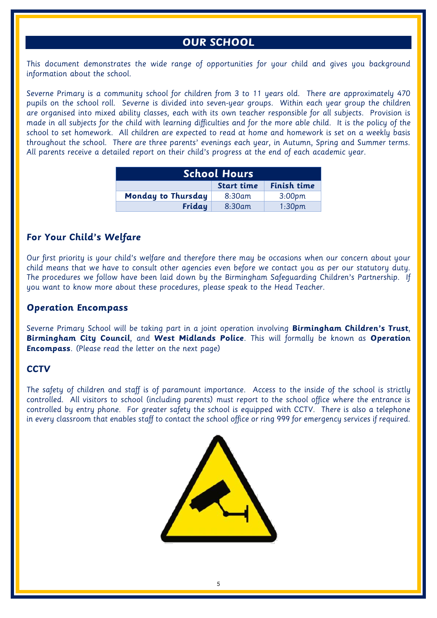## **OUR SCHOOL**

This document demonstrates the wide range of opportunities for your child and gives you background information about the school.

Severne Primary is a community school for children from 3 to 11 years old. There are approximately 470 pupils on the school roll. Severne is divided into seven-year groups. Within each year group the children are organised into mixed ability classes, each with its own teacher responsible for all subjects. Provision is made in all subjects for the child with learning difficulties and for the more able child. It is the policy of the school to set homework. All children are expected to read at home and homework is set on a weekly basis throughout the school. There are three parents' evenings each year, in Autumn, Spring and Summer terms. All parents receive a detailed report on their child's progress at the end of each academic year.

| School Hours              |                   |                    |  |  |
|---------------------------|-------------------|--------------------|--|--|
|                           | <b>Start time</b> | <b>Finish time</b> |  |  |
| <b>Monday to Thursday</b> | $8:30$ am         | 3:00 <sub>pm</sub> |  |  |
| Friday                    | $8:30$ am         | 1:30 <sub>pm</sub> |  |  |

#### **For Your Child's Welfare**

Our first priority is your child's welfare and therefore there may be occasions when our concern about your child means that we have to consult other agencies even before we contact you as per our statutory duty. The procedures we follow have been laid down by the Birmingham Safeguarding Children's Partnership. If you want to know more about these procedures, please speak to the Head Teacher.

#### **Operation Encompass**

Severne Primary School will be taking part in a joint operation involving **Birmingham Children's Trust**, **Birmingham City Council**, and **West Midlands Police**. This will formally be known as **Operation Encompass**. (Please read the letter on the next page)

#### **CCTV**

The safety of children and staff is of paramount importance. Access to the inside of the school is strictly controlled. All visitors to school (including parents) must report to the school office where the entrance is controlled by entry phone. For greater safety the school is equipped with CCTV. There is also a telephone in every classroom that enables staff to contact the school office or ring 999 for emergency services if required.

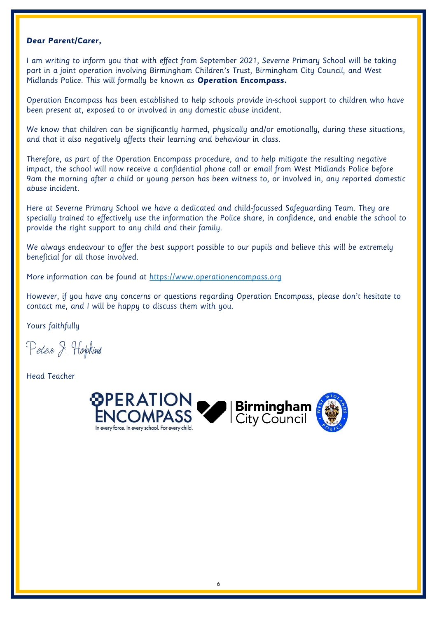#### **Dear Parent/Carer,**

I am writing to inform you that with effect from September 2021, Severne Primary School will be taking part in a joint operation involving Birmingham Children's Trust, Birmingham City Council, and West Midlands Police. This will formally be known as **Operation Encompass.**

Operation Encompass has been established to help schools provide in-school support to children who have been present at, exposed to or involved in any domestic abuse incident.

We know that children can be significantly harmed, physically and/or emotionally, during these situations, and that it also negatively affects their learning and behaviour in class.

Therefore, as part of the Operation Encompass procedure, and to help mitigate the resulting negative impact, the school will now receive a confidential phone call or email from West Midlands Police before 9am the morning after a child or young person has been witness to, or involved in, any reported domestic abuse incident.

Here at Severne Primary School we have a dedicated and child-focussed Safeguarding Team. They are specially trained to effectively use the information the Police share, in confidence, and enable the school to provide the right support to any child and their family.

We always endeavour to offer the best support possible to our pupils and believe this will be extremely beneficial for all those involved.

More information can be found at [https://www.operationencompass.org](https://www.operationencompass.org/)

However, if you have any concerns or questions regarding Operation Encompass, please don't hesitate to contact me, and I will be happy to discuss them with you.

Yours faithfully

Peter J. Hopkins

Head Teacher

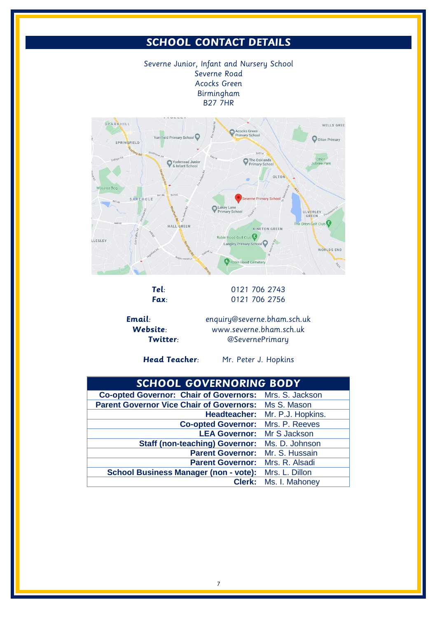## **SCHOOL CONTACT DETAILS**

Severne Junior, Infant and Nursery School Severne Road Acocks Green Birmingham B27 7HR



**Tel**: 0121 706 2743 **Fax**: 0121 706 2756

**Email**: [enquiry@severne.bham.sch.uk](mailto:enquiry@severne.bham.sch.uk) **Website**: [www.severne.bham.sch.uk](http://www.severne.bham.sch.uk/) **Twitter**: [@SevernePrimary](https://twitter.com/SevernePrimary)

**Head Teacher**: Mr. Peter J. Hopkins

| <b>SCHOOL GOVERNORING BODY</b>                  |                                 |  |  |  |
|-------------------------------------------------|---------------------------------|--|--|--|
| <b>Co-opted Governor: Chair of Governors:</b>   | Mrs. S. Jackson                 |  |  |  |
| <b>Parent Governor Vice Chair of Governors:</b> | Ms S. Mason                     |  |  |  |
| <b>Headteacher:</b>                             | Mr. P.J. Hopkins.               |  |  |  |
| <b>Co-opted Governor:</b>                       | Mrs. P. Reeves                  |  |  |  |
| <b>LEA Governor:</b>                            | Mr S Jackson                    |  |  |  |
| <b>Staff (non-teaching) Governor:</b>           | Ms. D. Johnson                  |  |  |  |
|                                                 | Parent Governor: Mr. S. Hussain |  |  |  |
| <b>Parent Governor:</b>                         | Mrs. R. Alsadi                  |  |  |  |
| <b>School Business Manager (non - vote):</b>    | Mrs. L. Dillon                  |  |  |  |
| <b>Clerk:</b> Ms. I. Mahoney                    |                                 |  |  |  |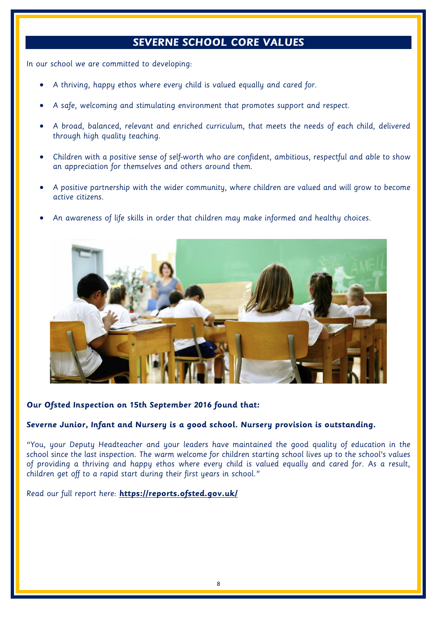## **SEVERNE SCHOOL CORE VALUES**

In our school we are committed to developing:

- A thriving, happy ethos where every child is valued equally and cared for.
- A safe, welcoming and stimulating environment that promotes support and respect.
- A broad, balanced, relevant and enriched curriculum, that meets the needs of each child, delivered through high quality teaching.
- Children with a positive sense of self-worth who are confident, ambitious, respectful and able to show an appreciation for themselves and others around them.
- A positive partnership with the wider community, where children are valued and will grow to become active citizens.
- An awareness of life skills in order that children may make informed and healthy choices.



#### **Our Ofsted Inspection on 15th September 2016 found that:**

#### **Severne Junior, Infant and Nursery is a good school. Nursery provision is outstanding.**

"You, your Deputy Headteacher and your leaders have maintained the good quality of education in the school since the last inspection. The warm welcome for children starting school lives up to the school's values of providing a thriving and happy ethos where every child is valued equally and cared for. As a result, children get off to a rapid start during their first years in school."

Read our full report here: **<https://reports.ofsted.gov.uk/>**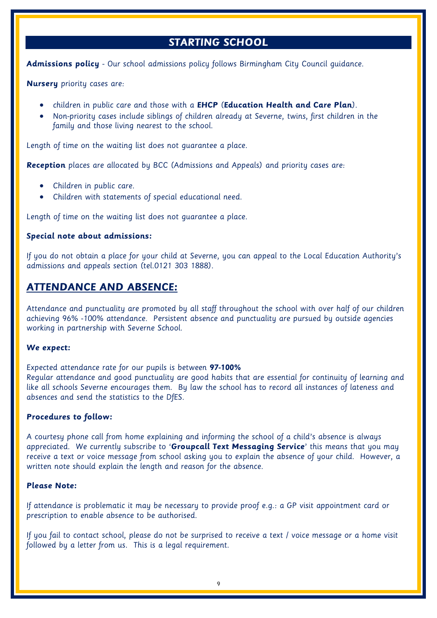## **STARTING SCHOOL**

**Admissions policy** - Our school admissions policy follows Birmingham City Council guidance.

**Nursery** priority cases are:

- children in public care and those with a **EHCP** (**Education Health and Care Plan**).
- Non-priority cases include siblings of children already at Severne, twins, first children in the family and those living nearest to the school.

Length of time on the waiting list does not guarantee a place.

**Reception** places are allocated by BCC (Admissions and Appeals) and priority cases are:

- Children in public care.
- Children with statements of special educational need.

Length of time on the waiting list does not guarantee a place.

#### **Special note about admissions:**

If you do not obtain a place for your child at Severne, you can appeal to the Local Education Authority's admissions and appeals section (tel.0121 303 1888).

## **ATTENDANCE AND ABSENCE:**

Attendance and punctuality are promoted by all staff throughout the school with over half of our children achieving 96% -100% attendance. Persistent absence and punctuality are pursued by outside agencies working in partnership with Severne School.

#### **We expect:**

Expected attendance rate for our pupils is between **97-100%**

Regular attendance and good punctuality are good habits that are essential for continuity of learning and like all schools Severne encourages them. By law the school has to record all instances of lateness and absences and send the statistics to the DfES.

#### **Procedures to follow:**

A courtesy phone call from home explaining and informing the school of a child's absence is always appreciated. We currently subscribe to '**Groupcall Text Messaging Service**' this means that you may receive a text or voice message from school asking you to explain the absence of your child. However, a written note should explain the length and reason for the absence.

#### **Please Note:**

If attendance is problematic it may be necessary to provide proof e.g.: a GP visit appointment card or prescription to enable absence to be authorised.

If you fail to contact school, please do not be surprised to receive a text / voice message or a home visit followed by a letter from us. This is a legal requirement.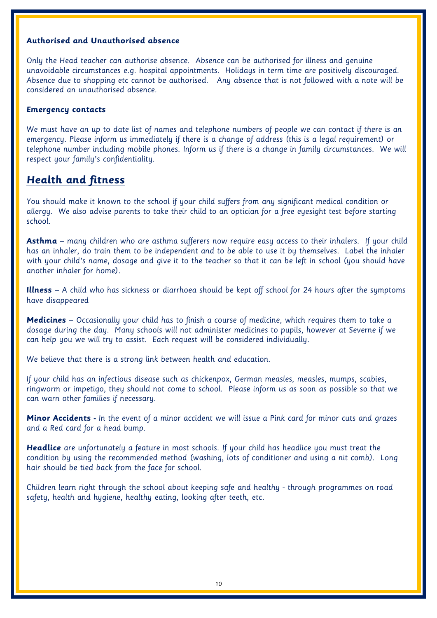#### **Authorised and Unauthorised absence**

Only the Head teacher can authorise absence. Absence can be authorised for illness and genuine unavoidable circumstances e.g. hospital appointments. Holidays in term time are positively discouraged. Absence due to shopping etc cannot be authorised. Any absence that is not followed with a note will be considered an unauthorised absence.

#### **Emergency contacts**

We must have an up to date list of names and telephone numbers of people we can contact if there is an emergency. Please inform us immediately if there is a change of address (this is a legal requirement) or telephone number including mobile phones. Inform us if there is a change in family circumstances. We will respect your family's confidentiality.

## **Health and fitness**

You should make it known to the school if your child suffers from any significant medical condition or allergy. We also advise parents to take their child to an optician for a free eyesight test before starting school.

**Asthma** – many children who are asthma sufferers now require easy access to their inhalers. If your child has an inhaler, do train them to be independent and to be able to use it by themselves. Label the inhaler with your child's name, dosage and give it to the teacher so that it can be left in school (you should have another inhaler for home).

**Illness** – A child who has sickness or diarrhoea should be kept off school for 24 hours after the symptoms have disappeared

**Medicines** – Occasionally your child has to finish a course of medicine, which requires them to take a dosage during the day. Many schools will not administer medicines to pupils, however at Severne if we can help you we will try to assist. Each request will be considered individually.

We believe that there is a strong link between health and education.

If your child has an infectious disease such as chickenpox, German measles, measles, mumps, scabies, ringworm or impetigo, they should not come to school. Please inform us as soon as possible so that we can warn other families if necessary.

**Minor Accidents -** In the event of a minor accident we will issue a Pink card for minor cuts and grazes and a Red card for a head bump.

**Headlice** are unfortunately a feature in most schools. If your child has headlice you must treat the condition by using the recommended method (washing, lots of conditioner and using a nit comb). Long hair should be tied back from the face for school.

Children learn right through the school about keeping safe and healthy - through programmes on road safety, health and hygiene, healthy eating, looking after teeth, etc.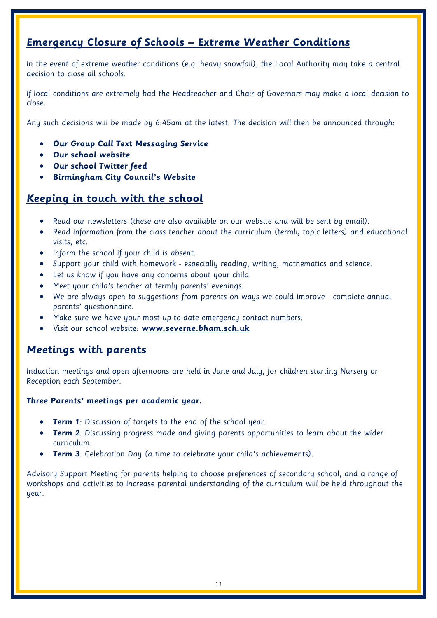## **Emergency Closure of Schools – Extreme Weather Conditions**

In the event of extreme weather conditions (e.g. heavy snowfall), the Local Authority may take a central decision to close all schools.

If local conditions are extremely bad the Headteacher and Chair of Governors may make a local decision to close.

Any such decisions will be made by 6:45am at the latest. The decision will then be announced through:

- **Our Group Call Text Messaging Service**
- **Our school website**
- **Our school Twitter feed**
- **Birmingham City Council's Website**

## **Keeping in touch with the school**

- Read our newsletters (these are also available on our website and will be sent by email).
- Read information from the class teacher about the curriculum (termly topic letters) and educational visits, etc.
- Inform the school if your child is absent.
- Support your child with homework especially reading, writing, mathematics and science.
- Let us know if you have any concerns about your child.
- Meet your child's teacher at termly parents' evenings.
- We are always open to suggestions from parents on ways we could improve complete annual parents' questionnaire.
- Make sure we have your most up-to-date emergency contact numbers.
- Visit our school website: **[www.severne.bham.sch.uk](http://www.severne.bham.sch.uk/)**

#### **Meetings with parents**

Induction meetings and open afternoons are held in June and July, for children starting Nursery or Reception each September.

#### **Three Parents' meetings per academic year.**

- **Term 1**: Discussion of targets to the end of the school year.
- **Term 2**: Discussing progress made and giving parents opportunities to learn about the wider curriculum.
- **Term 3**: Celebration Day (a time to celebrate your child's achievements).

Advisory Support Meeting for parents helping to choose preferences of secondary school, and a range of workshops and activities to increase parental understanding of the curriculum will be held throughout the year.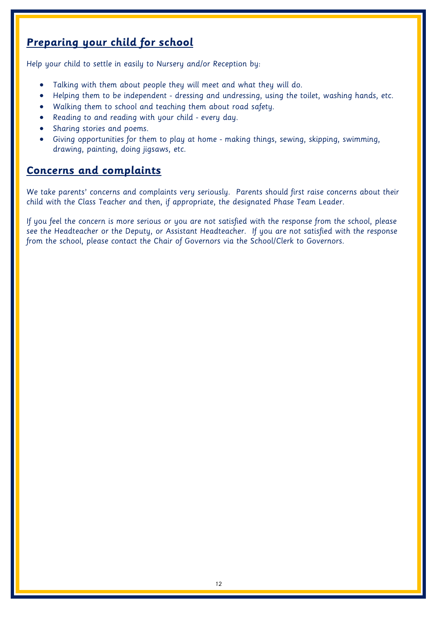## **Preparing your child for school**

Help your child to settle in easily to Nursery and/or Reception by:

- Talking with them about people they will meet and what they will do.
- Helping them to be independent dressing and undressing, using the toilet, washing hands, etc.
- Walking them to school and teaching them about road safety.
- Reading to and reading with your child every day.
- Sharing stories and poems.
- Giving opportunities for them to play at home making things, sewing, skipping, swimming, drawing, painting, doing jigsaws, etc.

## **Concerns and complaints**

We take parents' concerns and complaints very seriously. Parents should first raise concerns about their child with the Class Teacher and then, if appropriate, the designated Phase Team Leader.

If you feel the concern is more serious or you are not satisfied with the response from the school, please see the Headteacher or the Deputy, or Assistant Headteacher. If you are not satisfied with the response from the school, please contact the Chair of Governors via the School/Clerk to Governors.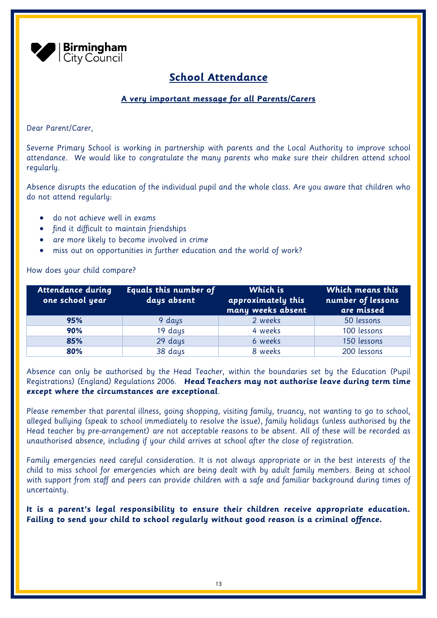

## **School Attendance**

#### **A very important message for all Parents/Carers**

Dear Parent/Carer,

Severne Primary School is working in partnership with parents and the Local Authority to improve school attendance. We would like to congratulate the many parents who make sure their children attend school regularly.

Absence disrupts the education of the individual pupil and the whole class. Are you aware that children who do not attend regularly:

- do not achieve well in exams
- find it difficult to maintain friendships
- are more likely to become involved in crime
- miss out on opportunities in further education and the world of work?

How does your child compare?

| Attendance during<br>one school year | Equals this number of<br>days absent | Which is<br>approximately this<br>many weeks absent | Which means this<br>number of lessons<br>are missed |
|--------------------------------------|--------------------------------------|-----------------------------------------------------|-----------------------------------------------------|
| 95%                                  | 9 days                               | 2 weeks                                             | 50 lessons                                          |
| 90%                                  | 19 days                              | 4 weeks                                             | 100 lessons                                         |
| 85%                                  | 29 days                              | 6 weeks                                             | 150 lessons                                         |
| 80%                                  | 38 days                              | 8 weeks                                             | 200 lessons                                         |

Absence can only be authorised by the Head Teacher, within the boundaries set by the Education (Pupil Registrations) (England) Regulations 2006. **Head Teachers may not authorise leave during term time except where the circumstances are exceptional**.

Please remember that parental illness, going shopping, visiting family, truancy, not wanting to go to school, alleged bullying (speak to school immediately to resolve the issue), family holidays (unless authorised by the Head teacher by pre-arrangement) are not acceptable reasons to be absent. All of these will be recorded as unauthorised absence, including if your child arrives at school after the close of registration.

Family emergencies need careful consideration. It is not always appropriate or in the best interests of the child to miss school for emergencies which are being dealt with by adult family members. Being at school with support from staff and peers can provide children with a safe and familiar background during times of uncertainty.

**It is a parent's legal responsibility to ensure their children receive appropriate education. Failing to send your child to school regularly without good reason is a criminal offence.**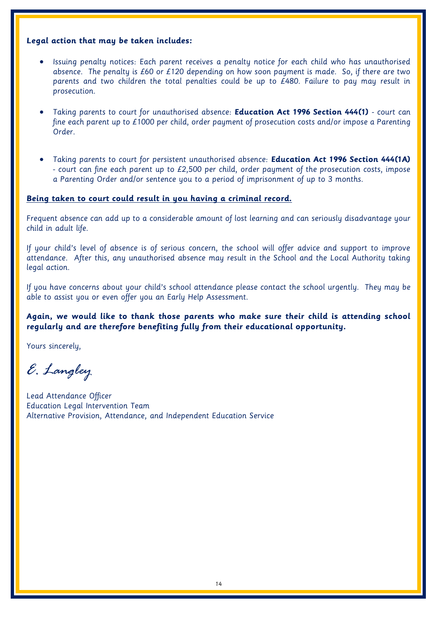#### **Legal action that may be taken includes:**

- Issuing penalty notices: Each parent receives a penalty notice for each child who has unauthorised absence. The penalty is £60 or £120 depending on how soon payment is made. So, if there are two parents and two children the total penalties could be up to £480. Failure to pay may result in prosecution.
- Taking parents to court for unauthorised absence: **Education Act 1996 Section 444(1)** court can fine each parent up to £1000 per child, order payment of prosecution costs and/or impose a Parenting Order.
- Taking parents to court for persistent unauthorised absence: **Education Act 1996 Section 444(1A)** - court can fine each parent up to £2,500 per child, order payment of the prosecution costs, impose a Parenting Order and/or sentence you to a period of imprisonment of up to 3 months.

#### **Being taken to court could result in you having a criminal record.**

Frequent absence can add up to a considerable amount of lost learning and can seriously disadvantage your child in adult life.

If your child's level of absence is of serious concern, the school will offer advice and support to improve attendance. After this, any unauthorised absence may result in the School and the Local Authority taking legal action.

If you have concerns about your child's school attendance please contact the school urgently. They may be able to assist you or even offer you an Early Help Assessment.

#### **Again, we would like to thank those parents who make sure their child is attending school regularly and are therefore benefiting fully from their educational opportunity.**

Yours sincerely,

*E. Langley*

Lead Attendance Officer Education Legal Intervention Team Alternative Provision, Attendance, and Independent Education Service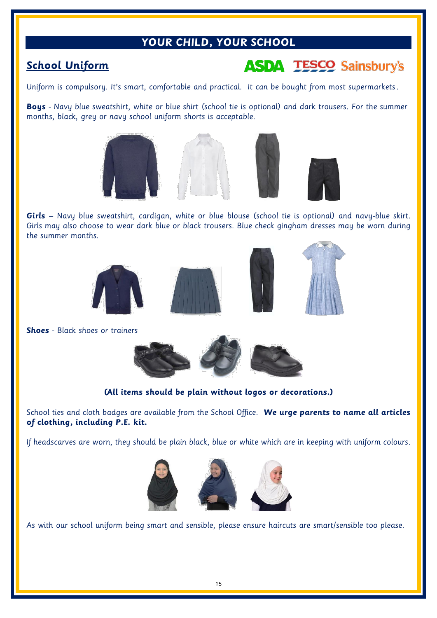## **YOUR CHILD, YOUR SCHOOL**

## **School Uniform**

**ASDA TESCO Sainsbury's** 

Uniform is compulsory. It's smart, comfortable and practical. It can be bought from most supermarkets.

**Boys** - Navy blue sweatshirt, white or blue shirt (school tie is optional) and dark trousers. For the summer months, black, grey or navy school uniform shorts is acceptable.





**Girls** – Navy blue sweatshirt, cardigan, white or blue blouse (school tie is optional) and navy-blue skirt. Girls may also choose to wear dark blue or black trousers. Blue check gingham dresses may be worn during the summer months.









**Shoes** - Black shoes or trainers



**(All items should be plain without logos or decorations.)**

School ties and cloth badges are available from the School Office. **We urge parents to name all articles of clothing, including P.E. kit.**

If headscarves are worn, they should be plain black, blue or white which are in keeping with uniform colours.





As with our school uniform being smart and sensible, please ensure haircuts are smart/sensible too please.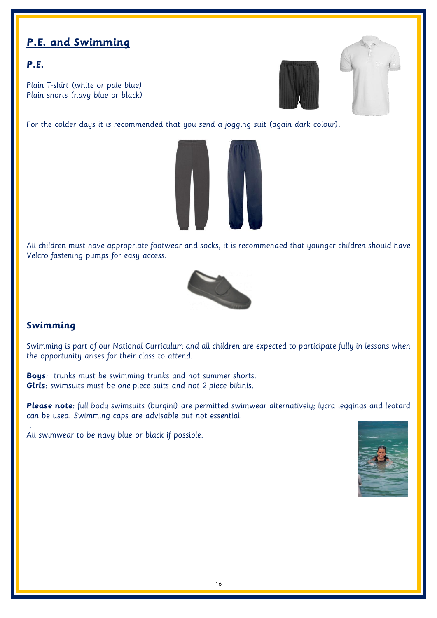## **P.E. and Swimming**

**P.E.**

Plain T-shirt (white or pale blue) Plain shorts (navy blue or black)

For the colder days it is recommended that you send a jogging suit (again dark colour).



All children must have appropriate footwear and socks, it is recommended that younger children should have Velcro fastening pumps for easy access.



#### **Swimming**

.

Swimming is part of our National Curriculum and all children are expected to participate fully in lessons when the opportunity arises for their class to attend.

**Boys**: trunks must be swimming trunks and not summer shorts. **Girls**: swimsuits must be one-piece suits and not 2-piece bikinis.

**Please note**: full body swimsuits (burqini) are permitted swimwear alternatively; lycra leggings and leotard can be used. Swimming caps are advisable but not essential.

All swimwear to be navy blue or black if possible.

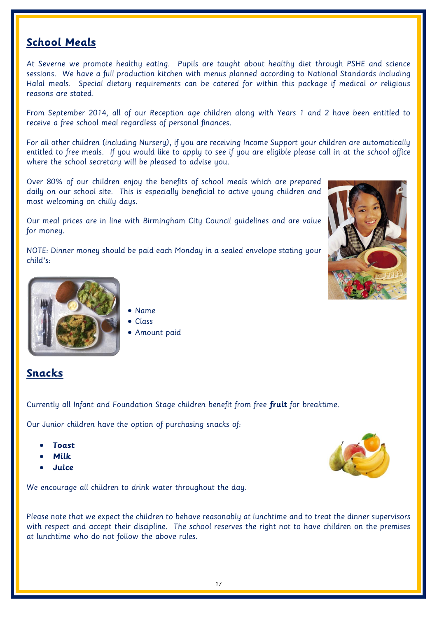## **School Meals**

At Severne we promote healthy eating. Pupils are taught about healthy diet through PSHE and science sessions. We have a full production kitchen with menus planned according to National Standards including Halal meals. Special dietary requirements can be catered for within this package if medical or religious reasons are stated.

From September 2014, all of our Reception age children along with Years 1 and 2 have been entitled to receive a free school meal regardless of personal finances.

For all other children (including Nursery), if you are receiving Income Support your children are automatically entitled to free meals. If you would like to apply to see if you are eligible please call in at the school office where the school secretary will be pleased to advise you.

Over 80% of our children enjoy the benefits of school meals which are prepared daily on our school site. This is especially beneficial to active young children and most welcoming on chilly days.

Our meal prices are in line with Birmingham City Council guidelines and are value for money.

NOTE: Dinner money should be paid each Monday in a sealed envelope stating your child's:





- Name
- Class
- Amount paid

## **Snacks**

Currently all Infant and Foundation Stage children benefit from free **fruit** for breaktime.

Our Junior children have the option of purchasing snacks of:

- **Toast**
- **Milk**
- **Juice**

We encourage all children to drink water throughout the day.

Please note that we expect the children to behave reasonably at lunchtime and to treat the dinner supervisors with respect and accept their discipline. The school reserves the right not to have children on the premises at lunchtime who do not follow the above rules.

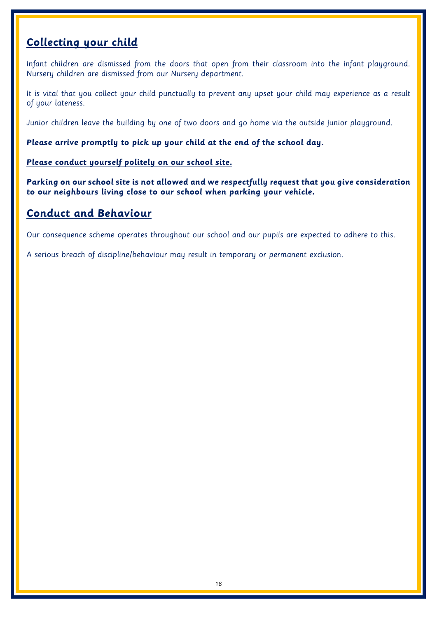## **Collecting your child**

Infant children are dismissed from the doors that open from their classroom into the infant playground. Nursery children are dismissed from our Nursery department.

It is vital that you collect your child punctually to prevent any upset your child may experience as a result of your lateness.

Junior children leave the building by one of two doors and go home via the outside junior playground.

**Please arrive promptly to pick up your child at the end of the school day.**

**Please conduct yourself politely on our school site.**

**Parking on our school site is not allowed and we respectfully request that you give consideration to our neighbours living close to our school when parking your vehicle.**

## **Conduct and Behaviour**

Our consequence scheme operates throughout our school and our pupils are expected to adhere to this.

A serious breach of discipline/behaviour may result in temporary or permanent exclusion.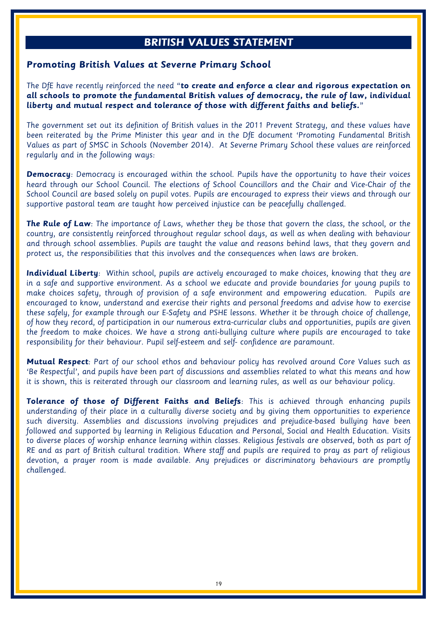## **BRITISH VALUES STATEMENT**

#### **Promoting British Values at Severne Primary School**

The DfE have recently reinforced the need "**to create and enforce a clear and rigorous expectation on all schools to promote the fundamental British values of democracy, the rule of law, individual liberty and mutual respect and tolerance of those with different faiths and beliefs.**"

The government set out its definition of British values in the 2011 Prevent Strategy, and these values have been reiterated by the Prime Minister this year and in the DfE document 'Promoting Fundamental British Values as part of SMSC in Schools (November 2014). At Severne Primary School these values are reinforced regularly and in the following ways:

**Democracy**: Democracy is encouraged within the school. Pupils have the opportunity to have their voices heard through our School Council. The elections of School Councillors and the Chair and Vice-Chair of the School Council are based solely on pupil votes. Pupils are encouraged to express their views and through our supportive pastoral team are taught how perceived injustice can be peacefully challenged.

**The Rule of Law**: The importance of Laws, whether they be those that govern the class, the school, or the country, are consistently reinforced throughout regular school days, as well as when dealing with behaviour and through school assemblies. Pupils are taught the value and reasons behind laws, that they govern and protect us, the responsibilities that this involves and the consequences when laws are broken.

**Individual Liberty**: Within school, pupils are actively encouraged to make choices, knowing that they are in a safe and supportive environment. As a school we educate and provide boundaries for young pupils to make choices safety, through of provision of a safe environment and empowering education. Pupils are encouraged to know, understand and exercise their rights and personal freedoms and advise how to exercise these safely, for example through our E-Safety and PSHE lessons. Whether it be through choice of challenge, of how they record, of participation in our numerous extra-curricular clubs and opportunities, pupils are given the freedom to make choices. We have a strong anti-bullying culture where pupils are encouraged to take responsibility for their behaviour. Pupil self-esteem and self- confidence are paramount.

**Mutual Respect**: Part of our school ethos and behaviour policy has revolved around Core Values such as 'Be Respectful', and pupils have been part of discussions and assemblies related to what this means and how it is shown, this is reiterated through our classroom and learning rules, as well as our behaviour policy.

**Tolerance of those of Different Faiths and Beliefs**: This is achieved through enhancing pupils understanding of their place in a culturally diverse society and by giving them opportunities to experience such diversity. Assemblies and discussions involving prejudices and prejudice-based bullying have been followed and supported by learning in Religious Education and Personal, Social and Health Education. Visits to diverse places of worship enhance learning within classes. Religious festivals are observed, both as part of RE and as part of British cultural tradition. Where staff and pupils are required to pray as part of religious devotion, a prayer room is made available. Any prejudices or discriminatory behaviours are promptly challenged.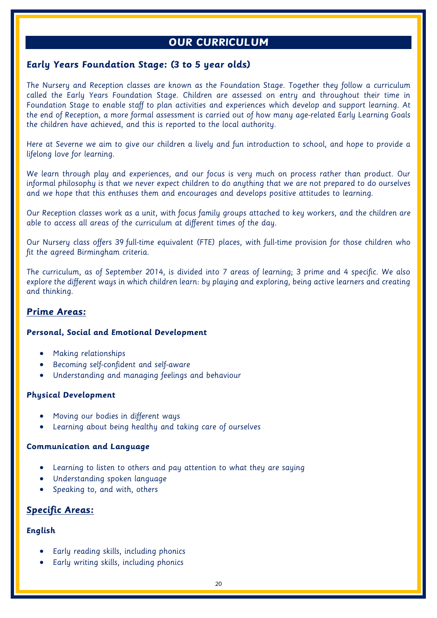## **OUR CURRICULUM**

#### **Early Years Foundation Stage: (3 to 5 year olds)**

The Nursery and Reception classes are known as the Foundation Stage. Together they follow a curriculum called the Early Years Foundation Stage. Children are assessed on entry and throughout their time in Foundation Stage to enable staff to plan activities and experiences which develop and support learning. At the end of Reception, a more formal assessment is carried out of how many age-related Early Learning Goals the children have achieved, and this is reported to the local authority.

Here at Severne we aim to give our children a lively and fun introduction to school, and hope to provide a lifelong love for learning.

We learn through play and experiences, and our focus is very much on process rather than product. Our informal philosophy is that we never expect children to do anything that we are not prepared to do ourselves and we hope that this enthuses them and encourages and develops positive attitudes to learning.

Our Reception classes work as a unit, with focus family groups attached to key workers, and the children are able to access all areas of the curriculum at different times of the day.

Our Nursery class offers 39 full-time equivalent (FTE) places, with full-time provision for those children who fit the agreed Birmingham criteria.

The curriculum, as of September 2014, is divided into 7 areas of learning; 3 prime and 4 specific. We also explore the different ways in which children learn: by playing and exploring, being active learners and creating and thinking.

#### **Prime Areas:**

#### **Personal, Social and Emotional Development**

- Making relationships
- Becoming self-confident and self-aware
- Understanding and managing feelings and behaviour

#### **Physical Development**

- Moving our bodies in different ways
- Learning about being healthy and taking care of ourselves

#### **Communication and Language**

- Learning to listen to others and pay attention to what they are saying
- Understanding spoken language
- Speaking to, and with, others

#### **Specific Areas:**

#### **English**

- Early reading skills, including phonics
- Early writing skills, including phonics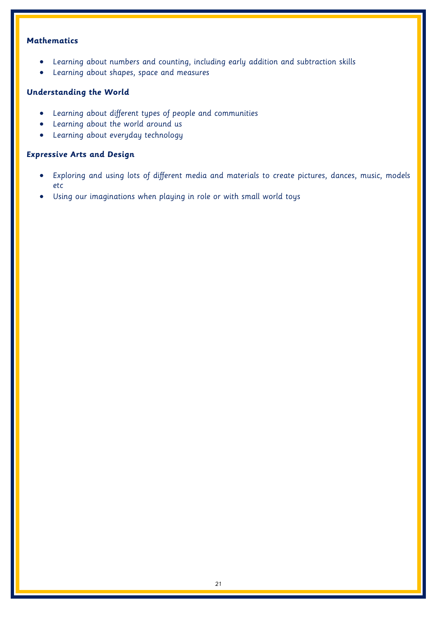#### **Mathematics**

- Learning about numbers and counting, including early addition and subtraction skills
- Learning about shapes, space and measures

#### **Understanding the World**

- Learning about different types of people and communities
- Learning about the world around us
- Learning about everyday technology

#### **Expressive Arts and Design**

- Exploring and using lots of different media and materials to create pictures, dances, music, models etc
- Using our imaginations when playing in role or with small world toys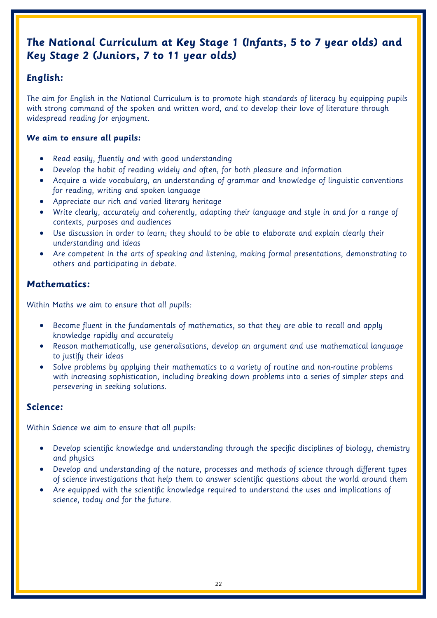## **The National Curriculum at Key Stage 1 (Infants, 5 to 7 year olds) and Key Stage 2 (Juniors, 7 to 11 year olds)**

## **English:**

The aim for English in the National Curriculum is to promote high standards of literacy by equipping pupils with strong command of the spoken and written word, and to develop their love of literature through widespread reading for enjoyment.

#### **We aim to ensure all pupils:**

- Read easily, fluently and with good understanding
- Develop the habit of reading widely and often, for both pleasure and information
- Acquire a wide vocabulary, an understanding of grammar and knowledge of linguistic conventions for reading, writing and spoken language
- Appreciate our rich and varied literary heritage
- Write clearly, accurately and coherently, adapting their language and style in and for a range of contexts, purposes and audiences
- Use discussion in order to learn; they should to be able to elaborate and explain clearly their understanding and ideas
- Are competent in the arts of speaking and listening, making formal presentations, demonstrating to others and participating in debate.

## **Mathematics:**

Within Maths we aim to ensure that all pupils:

- Become fluent in the fundamentals of mathematics, so that they are able to recall and apply knowledge rapidly and accurately
- Reason mathematically, use generalisations, develop an argument and use mathematical language to justify their ideas
- Solve problems by applying their mathematics to a variety of routine and non-routine problems with increasing sophistication, including breaking down problems into a series of simpler steps and persevering in seeking solutions.

#### **Science:**

Within Science we aim to ensure that all pupils:

- Develop scientific knowledge and understanding through the specific disciplines of biology, chemistry and physics
- Develop and understanding of the nature, processes and methods of science through different types of science investigations that help them to answer scientific questions about the world around them
- Are equipped with the scientific knowledge required to understand the uses and implications of science, today and for the future.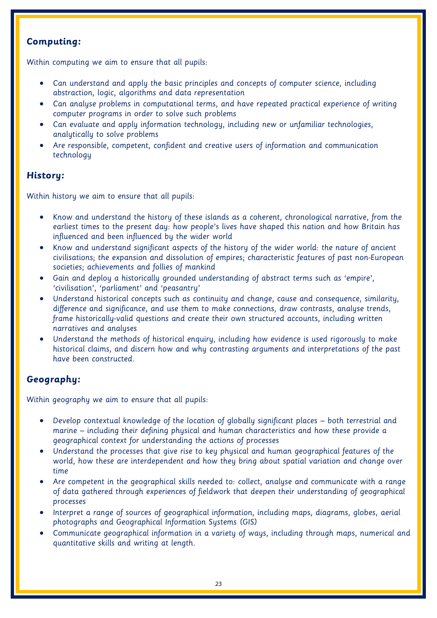#### **Computing:**

Within computing we aim to ensure that all pupils:

- Can understand and apply the basic principles and concepts of computer science, including abstraction, logic, algorithms and data representation
- Can analyse problems in computational terms, and have repeated practical experience of writing computer programs in order to solve such problems
- Can evaluate and apply information technology, including new or unfamiliar technologies, analytically to solve problems
- Are responsible, competent, confident and creative users of information and communication technology

#### **History:**

Within history we aim to ensure that all pupils:

- Know and understand the history of these islands as a coherent, chronological narrative, from the earliest times to the present day: how people's lives have shaped this nation and how Britain has influenced and been influenced by the wider world
- Know and understand significant aspects of the history of the wider world: the nature of ancient civilisations; the expansion and dissolution of empires; characteristic features of past non-European societies; achievements and follies of mankind
- Gain and deploy a historically grounded understanding of abstract terms such as 'empire', 'civilisation', 'parliament' and 'peasantry'
- Understand historical concepts such as continuity and change, cause and consequence, similarity, difference and significance, and use them to make connections, draw contrasts, analyse trends, frame historically-valid questions and create their own structured accounts, including written narratives and analyses
- Understand the methods of historical enquiry, including how evidence is used rigorously to make historical claims, and discern how and why contrasting arguments and interpretations of the past have been constructed.

#### **Geography:**

Within geography we aim to ensure that all pupils:

- Develop contextual knowledge of the location of globally significant places both terrestrial and marine – including their defining physical and human characteristics and how these provide a geographical context for understanding the actions of processes
- Understand the processes that give rise to key physical and human geographical features of the world, how these are interdependent and how they bring about spatial variation and change over time
- Are competent in the geographical skills needed to: collect, analyse and communicate with a range of data gathered through experiences of fieldwork that deepen their understanding of geographical processes
- Interpret a range of sources of geographical information, including maps, diagrams, globes, aerial photographs and Geographical Information Systems (GIS)
- Communicate geographical information in a variety of ways, including through maps, numerical and quantitative skills and writing at length.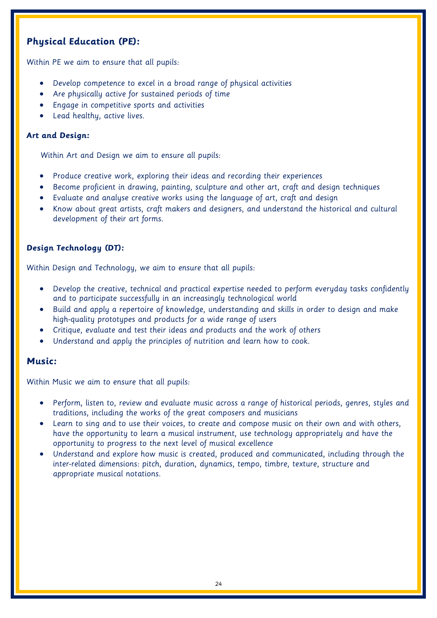## **Physical Education (PE):**

Within PE we aim to ensure that all pupils:

- Develop competence to excel in a broad range of physical activities
- Are physically active for sustained periods of time
- Engage in competitive sports and activities
- Lead healthy, active lives.

#### **Art and Design:**

Within Art and Design we aim to ensure all pupils:

- Produce creative work, exploring their ideas and recording their experiences
- Become proficient in drawing, painting, sculpture and other art, craft and design techniques
- Evaluate and analyse creative works using the language of art, craft and design
- Know about great artists, craft makers and designers, and understand the historical and cultural development of their art forms.

#### **Design Technology (DT):**

Within Design and Technology, we aim to ensure that all pupils:

- Develop the creative, technical and practical expertise needed to perform everyday tasks confidently and to participate successfully in an increasingly technological world
- Build and apply a repertoire of knowledge, understanding and skills in order to design and make high-quality prototypes and products for a wide range of users
- Critique, evaluate and test their ideas and products and the work of others
- Understand and apply the principles of nutrition and learn how to cook.

#### **Music:**

Within Music we aim to ensure that all pupils:

- Perform, listen to, review and evaluate music across a range of historical periods, genres, styles and traditions, including the works of the great composers and musicians
- Learn to sing and to use their voices, to create and compose music on their own and with others, have the opportunity to learn a musical instrument, use technology appropriately and have the opportunity to progress to the next level of musical excellence
- Understand and explore how music is created, produced and communicated, including through the inter-related dimensions: pitch, duration, dynamics, tempo, timbre, texture, structure and appropriate musical notations.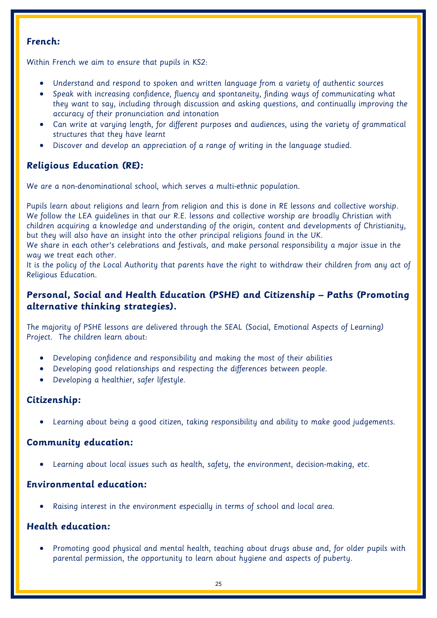#### **French:**

Within French we aim to ensure that pupils in KS2:

- Understand and respond to spoken and written language from a variety of authentic sources
- Speak with increasing confidence, fluency and spontaneity, finding ways of communicating what they want to say, including through discussion and asking questions, and continually improving the accuracy of their pronunciation and intonation
- Can write at varying length, for different purposes and audiences, using the variety of grammatical structures that they have learnt
- Discover and develop an appreciation of a range of writing in the language studied.

## **Religious Education (RE):**

We are a non-denominational school, which serves a multi-ethnic population.

Pupils learn about religions and learn from religion and this is done in RE lessons and collective worship. We follow the LEA guidelines in that our R.E. lessons and collective worship are broadly Christian with children acquiring a knowledge and understanding of the origin, content and developments of Christianity, but they will also have an insight into the other principal religions found in the UK.

We share in each other's celebrations and festivals, and make personal responsibility a major issue in the way we treat each other.

It is the policy of the Local Authority that parents have the right to withdraw their children from any act of Religious Education.

#### **Personal, Social and Health Education (PSHE) and Citizenship – Paths (Promoting alternative thinking strategies).**

The majority of PSHE lessons are delivered through the SEAL (Social, Emotional Aspects of Learning) Project. The children learn about:

- Developing confidence and responsibility and making the most of their abilities
- Developing good relationships and respecting the differences between people.
- Developing a healthier, safer lifestyle.

#### **Citizenship:**

• Learning about being a good citizen, taking responsibility and ability to make good judgements.

#### **Community education:**

• Learning about local issues such as health, safety, the environment, decision-making, etc.

#### **Environmental education:**

• Raising interest in the environment especially in terms of school and local area.

#### **Health education:**

• Promoting good physical and mental health, teaching about drugs abuse and, for older pupils with parental permission, the opportunity to learn about hygiene and aspects of puberty.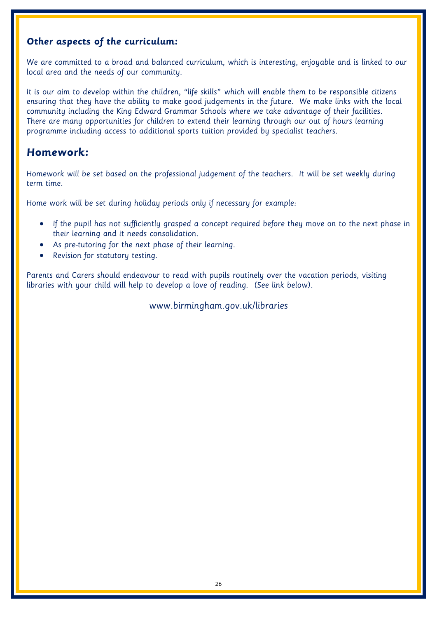#### **Other aspects of the curriculum:**

We are committed to a broad and balanced curriculum, which is interesting, enjoyable and is linked to our local area and the needs of our community.

It is our aim to develop within the children, "life skills" which will enable them to be responsible citizens ensuring that they have the ability to make good judgements in the future. We make links with the local community including the King Edward Grammar Schools where we take advantage of their facilities. There are many opportunities for children to extend their learning through our out of hours learning programme including access to additional sports tuition provided by specialist teachers.

## **Homework:**

Homework will be set based on the professional judgement of the teachers. It will be set weekly during term time.

Home work will be set during holiday periods only if necessary for example:

- If the pupil has not sufficiently grasped a concept required before they move on to the next phase in their learning and it needs consolidation.
- As pre-tutoring for the next phase of their learning.
- Revision for statutory testing.

Parents and Carers should endeavour to read with pupils routinely over the vacation periods, visiting libraries with your child will help to develop a love of reading. (See link below).

[www.birmingham.gov.uk/libraries](http://www.birmingham.gov.uk/libraries)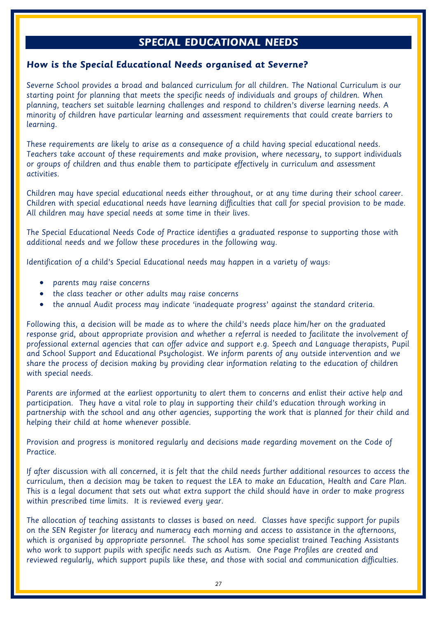## **SPECIAL EDUCATIONAL NEEDS**

## **How is the Special Educational Needs organised at Severne?**

Severne School provides a broad and balanced curriculum for all children. The National Curriculum is our starting point for planning that meets the specific needs of individuals and groups of children. When planning, teachers set suitable learning challenges and respond to children's diverse learning needs. A minority of children have particular learning and assessment requirements that could create barriers to learning.

These requirements are likely to arise as a consequence of a child having special educational needs. Teachers take account of these requirements and make provision, where necessary, to support individuals or groups of children and thus enable them to participate effectively in curriculum and assessment activities.

Children may have special educational needs either throughout, or at any time during their school career. Children with special educational needs have learning difficulties that call for special provision to be made. All children may have special needs at some time in their lives.

The Special Educational Needs Code of Practice identifies a graduated response to supporting those with additional needs and we follow these procedures in the following way.

Identification of a child's Special Educational needs may happen in a variety of ways:

- parents may raise concerns
- the class teacher or other adults may raise concerns
- the annual Audit process may indicate 'inadequate progress' against the standard criteria.

Following this, a decision will be made as to where the child's needs place him/her on the graduated response grid, about appropriate provision and whether a referral is needed to facilitate the involvement of professional external agencies that can offer advice and support e.g. Speech and Language therapists, Pupil and School Support and Educational Psychologist. We inform parents of any outside intervention and we share the process of decision making by providing clear information relating to the education of children with special needs.

Parents are informed at the earliest opportunity to alert them to concerns and enlist their active help and participation. They have a vital role to play in supporting their child's education through working in partnership with the school and any other agencies, supporting the work that is planned for their child and helping their child at home whenever possible.

Provision and progress is monitored regularly and decisions made regarding movement on the Code of Practice.

If after discussion with all concerned, it is felt that the child needs further additional resources to access the curriculum, then a decision may be taken to request the LEA to make an Education, Health and Care Plan. This is a legal document that sets out what extra support the child should have in order to make progress within prescribed time limits. It is reviewed every year.

The allocation of teaching assistants to classes is based on need. Classes have specific support for pupils on the SEN Register for literacy and numeracy each morning and access to assistance in the afternoons, which is organised by appropriate personnel. The school has some specialist trained Teaching Assistants who work to support pupils with specific needs such as Autism. One Page Profiles are created and reviewed regularly, which support pupils like these, and those with social and communication difficulties.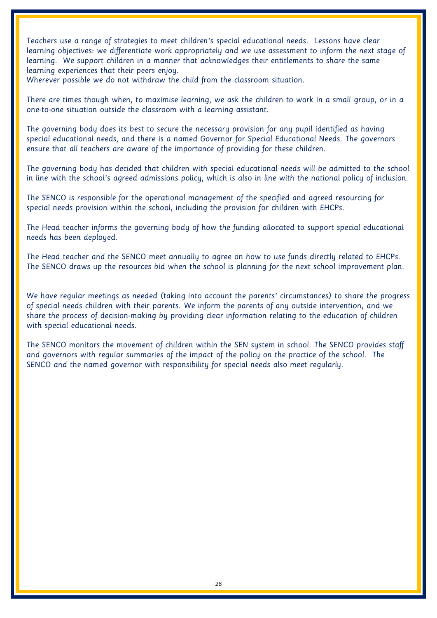Teachers use a range of strategies to meet children's special educational needs. Lessons have clear learning objectives: we differentiate work appropriately and we use assessment to inform the next stage of learning. We support children in a manner that acknowledges their entitlements to share the same learning experiences that their peers enjoy.

Wherever possible we do not withdraw the child from the classroom situation.

There are times though when, to maximise learning, we ask the children to work in a small group, or in a one-to-one situation outside the classroom with a learning assistant.

The governing body does its best to secure the necessary provision for any pupil identified as having special educational needs, and there is a named Governor for Special Educational Needs. The governors ensure that all teachers are aware of the importance of providing for these children.

The governing body has decided that children with special educational needs will be admitted to the school in line with the school's agreed admissions policy, which is also in line with the national policy of inclusion.

The SENCO is responsible for the operational management of the specified and agreed resourcing for special needs provision within the school, including the provision for children with EHCPs.

The Head teacher informs the governing body of how the funding allocated to support special educational needs has been deployed.

The Head teacher and the SENCO meet annually to agree on how to use funds directly related to EHCPs. The SENCO draws up the resources bid when the school is planning for the next school improvement plan.

We have regular meetings as needed (taking into account the parents' circumstances) to share the progress of special needs children with their parents. We inform the parents of any outside intervention, and we share the process of decision-making by providing clear information relating to the education of children with special educational needs.

The SENCO monitors the movement of children within the SEN system in school. The SENCO provides staff and governors with regular summaries of the impact of the policy on the practice of the school. The SENCO and the named governor with responsibility for special needs also meet regularly.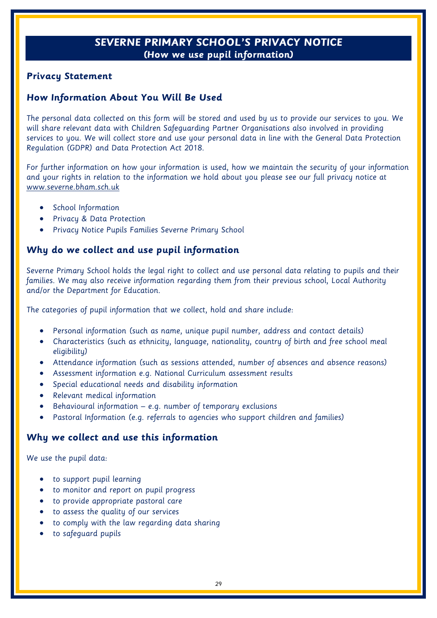#### **SEVERNE PRIMARY SCHOOL'S PRIVACY NOTICE (How we use pupil information)**

#### **Privacy Statement**

#### **How Information About You Will Be Used**

The personal data collected on this form will be stored and used by us to provide our services to you. We will share relevant data with Children Safeguarding Partner Organisations also involved in providing services to you. We will collect store and use your personal data in line with the General Data Protection Regulation (GDPR) and Data Protection Act 2018.

For further information on how your information is used, how we maintain the security of your information and your rights in relation to the information we hold about you please see our full privacy notice at [www.severne.bham.sch.uk](http://www.severne.bham.sch.uk/)

- School Information
- Privacy & Data Protection
- Privacy Notice Pupils Families Severne Primary School

#### **Why do we collect and use pupil information**

Severne Primary School holds the legal right to collect and use personal data relating to pupils and their families. We may also receive information regarding them from their previous school, Local Authority and/or the Department for Education.

The categories of pupil information that we collect, hold and share include:

- Personal information (such as name, unique pupil number, address and contact details)
- Characteristics (such as ethnicity, language, nationality, country of birth and free school meal eligibility)
- Attendance information (such as sessions attended, number of absences and absence reasons)
- Assessment information e.g. National Curriculum assessment results
- Special educational needs and disability information
- Relevant medical information
- Behavioural information e.g. number of temporary exclusions
- Pastoral Information (e.g. referrals to agencies who support children and families)

#### **Why we collect and use this information**

We use the pupil data:

- to support pupil learning
- to monitor and report on pupil progress
- to provide appropriate pastoral care
- to assess the quality of our services
- to comply with the law regarding data sharing
- to safeguard pupils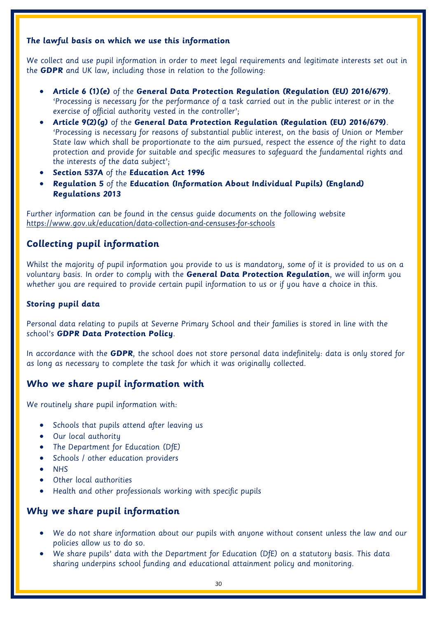#### **The lawful basis on which we use this information**

We collect and use pupil information in order to meet legal requirements and legitimate interests set out in the **GDPR** and UK law, including those in relation to the following:

- **Article 6 (1)(e)** of the **General Data Protection Regulation (Regulation (EU) 2016/679)**. 'Processing is necessary for the performance of a task carried out in the public interest or in the exercise of official authority vested in the controller';
- **Article 9(2)(g)** of the **General Data Protection Regulation (Regulation (EU) 2016/679)**. 'Processing is necessary for reasons of substantial public interest, on the basis of Union or Member State law which shall be proportionate to the aim pursued, respect the essence of the right to data protection and provide for suitable and specific measures to safeguard the fundamental rights and the interests of the data subject';
- **Section 537A** of the **Education Act 1996**
- **Regulation 5** of the **Education (Information About Individual Pupils) (England) Regulations 2013**

Further information can be found in the census guide documents on the following website <https://www.gov.uk/education/data-collection-and-censuses-for-schools>

#### **Collecting pupil information**

Whilst the majority of pupil information you provide to us is mandatory, some of it is provided to us on a voluntary basis. In order to comply with the **General Data Protection Regulation**, we will inform you whether you are required to provide certain pupil information to us or if you have a choice in this.

#### **Storing pupil data**

Personal data relating to pupils at Severne Primary School and their families is stored in line with the school's **GDPR Data Protection Policy**.

In accordance with the **GDPR**, the school does not store personal data indefinitely: data is only stored for as long as necessary to complete the task for which it was originally collected.

#### **Who we share pupil information with**

We routinely share pupil information with:

- Schools that pupils attend after leaving us
- Our local authority
- The Department for Education (DfE)
- Schools / other education providers
- NHS
- Other local authorities
- Health and other professionals working with specific pupils

#### **Why we share pupil information**

- We do not share information about our pupils with anyone without consent unless the law and our policies allow us to do so.
- We share pupils' data with the Department for Education (DfE) on a statutory basis. This data sharing underpins school funding and educational attainment policy and monitoring.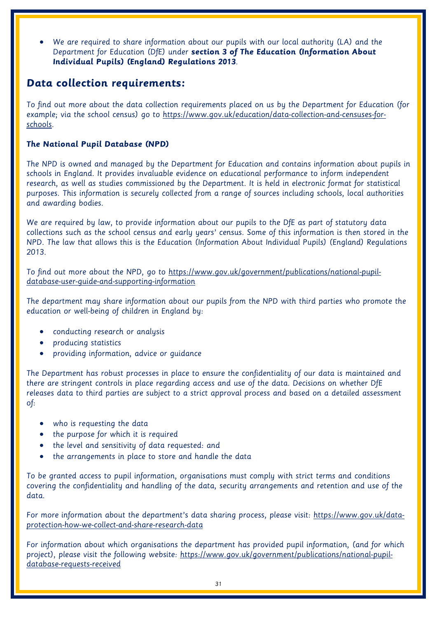• We are required to share information about our pupils with our local authority (LA) and the Department for Education (DfE) under **section 3 of The Education (Information About Individual Pupils) (England) Regulations 2013**.

## **Data collection requirements:**

To find out more about the data collection requirements placed on us by the Department for Education (for example; via the school census) go to [https://www.gov.uk/education/data-collection-and-censuses-for](https://www.gov.uk/education/data-collection-and-censuses-for-schools)[schools.](https://www.gov.uk/education/data-collection-and-censuses-for-schools)

#### **The National Pupil Database (NPD)**

The NPD is owned and managed by the Department for Education and contains information about pupils in schools in England. It provides invaluable evidence on educational performance to inform independent research, as well as studies commissioned by the Department. It is held in electronic format for statistical purposes. This information is securely collected from a range of sources including schools, local authorities and awarding bodies.

We are required by law, to provide information about our pupils to the DfE as part of statutory data collections such as the school census and early years' census. Some of this information is then stored in the NPD. The law that allows this is the Education (Information About Individual Pupils) (England) Regulations 2013.

To find out more about the NPD, go to [https://www.gov.uk/government/publications/national-pupil](https://www.gov.uk/government/publications/national-pupil-database-user-guide-and-supporting-information)[database-user-guide-and-supporting-information](https://www.gov.uk/government/publications/national-pupil-database-user-guide-and-supporting-information)

The department may share information about our pupils from the NPD with third parties who promote the education or well-being of children in England by:

- conducting research or analysis
- producing statistics
- providing information, advice or guidance

The Department has robust processes in place to ensure the confidentiality of our data is maintained and there are stringent controls in place regarding access and use of the data. Decisions on whether DfE releases data to third parties are subject to a strict approval process and based on a detailed assessment of:

- who is requesting the data
- the purpose for which it is required
- the level and sensitivity of data requested: and
- the arrangements in place to store and handle the data

To be granted access to pupil information, organisations must comply with strict terms and conditions covering the confidentiality and handling of the data, security arrangements and retention and use of the data.

For more information about the department's data sharing process, please visit: [https://www.gov.uk/data](https://www.gov.uk/data-protection-how-we-collect-and-share-research-data)[protection-how-we-collect-and-share-research-data](https://www.gov.uk/data-protection-how-we-collect-and-share-research-data)

For information about which organisations the department has provided pupil information, (and for which project), please visit the following website: [https://www.gov.uk/government/publications/national-pupil](https://www.gov.uk/government/publications/national-pupil-database-requests-received)[database-requests-received](https://www.gov.uk/government/publications/national-pupil-database-requests-received)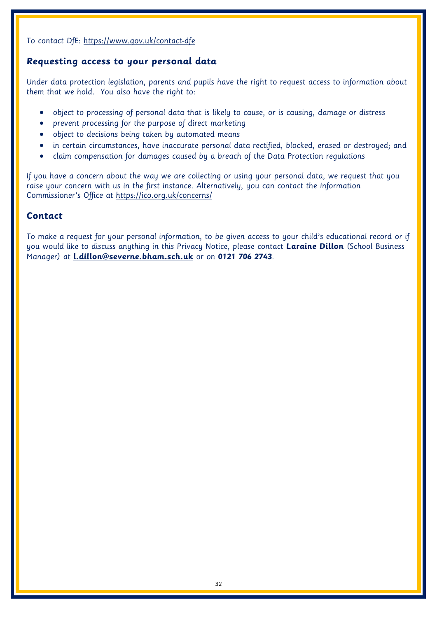#### To contact DfE:<https://www.gov.uk/contact-dfe>

#### **Requesting access to your personal data**

Under data protection legislation, parents and pupils have the right to request access to information about them that we hold. You also have the right to:

- object to processing of personal data that is likely to cause, or is causing, damage or distress
- prevent processing for the purpose of direct marketing
- object to decisions being taken by automated means
- in certain circumstances, have inaccurate personal data rectified, blocked, erased or destroyed; and
- claim compensation for damages caused by a breach of the Data Protection regulations

If you have a concern about the way we are collecting or using your personal data, we request that you raise your concern with us in the first instance. Alternatively, you can contact the Information Commissioner's Office at <https://ico.org.uk/concerns/>

#### **Contact**

To make a request for your personal information, to be given access to your child's educational record or if you would like to discuss anything in this Privacy Notice, please contact **Laraine Dillon** (School Business Manager) at **[l.dillon@severne.bham.sch.uk](mailto:l.dillon@severne.bham.sch.uk)** or on **0121 706 2743**.